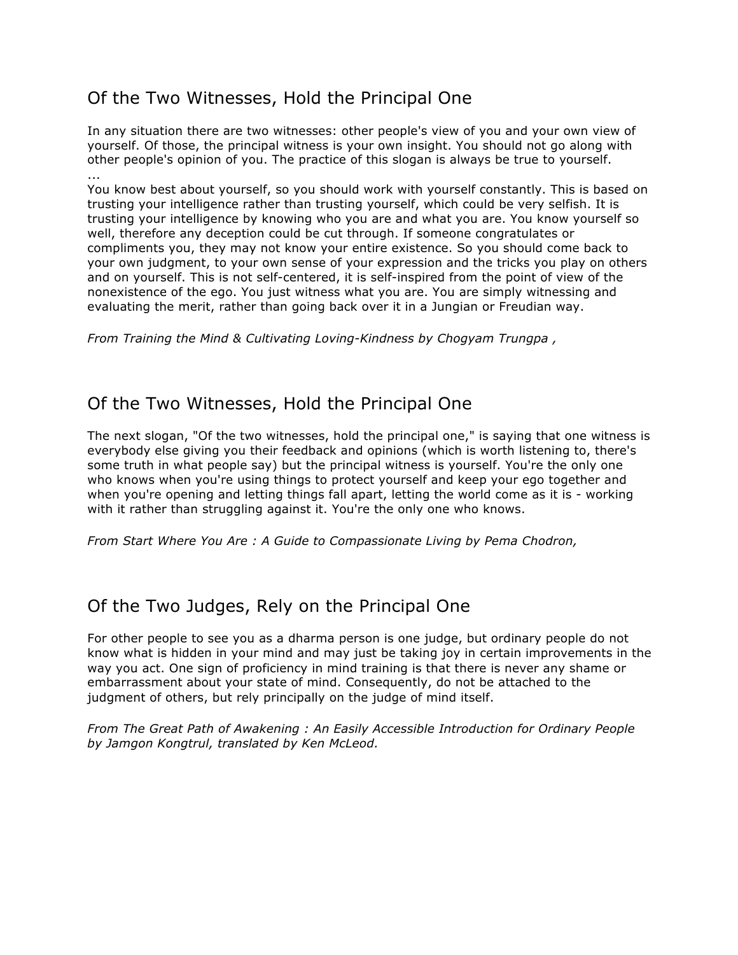## Of the Two Witnesses, Hold the Principal One

In any situation there are two witnesses: other people's view of you and your own view of yourself. Of those, the principal witness is your own insight. You should not go along with other people's opinion of you. The practice of this slogan is always be true to yourself.

... You know best about yourself, so you should work with yourself constantly. This is based on trusting your intelligence rather than trusting yourself, which could be very selfish. It is trusting your intelligence by knowing who you are and what you are. You know yourself so well, therefore any deception could be cut through. If someone congratulates or compliments you, they may not know your entire existence. So you should come back to your own judgment, to your own sense of your expression and the tricks you play on others and on yourself. This is not self-centered, it is self-inspired from the point of view of the nonexistence of the ego. You just witness what you are. You are simply witnessing and evaluating the merit, rather than going back over it in a Jungian or Freudian way.

*From Training the Mind & Cultivating Loving-Kindness by Chogyam Trungpa ,* 

### Of the Two Witnesses, Hold the Principal One

The next slogan, "Of the two witnesses, hold the principal one," is saying that one witness is everybody else giving you their feedback and opinions (which is worth listening to, there's some truth in what people say) but the principal witness is yourself. You're the only one who knows when you're using things to protect yourself and keep your ego together and when you're opening and letting things fall apart, letting the world come as it is - working with it rather than struggling against it. You're the only one who knows.

*From Start Where You Are : A Guide to Compassionate Living by Pema Chodron,*

# Of the Two Judges, Rely on the Principal One

For other people to see you as a dharma person is one judge, but ordinary people do not know what is hidden in your mind and may just be taking joy in certain improvements in the way you act. One sign of proficiency in mind training is that there is never any shame or embarrassment about your state of mind. Consequently, do not be attached to the judgment of others, but rely principally on the judge of mind itself.

*From The Great Path of Awakening : An Easily Accessible Introduction for Ordinary People by Jamgon Kongtrul, translated by Ken McLeod.*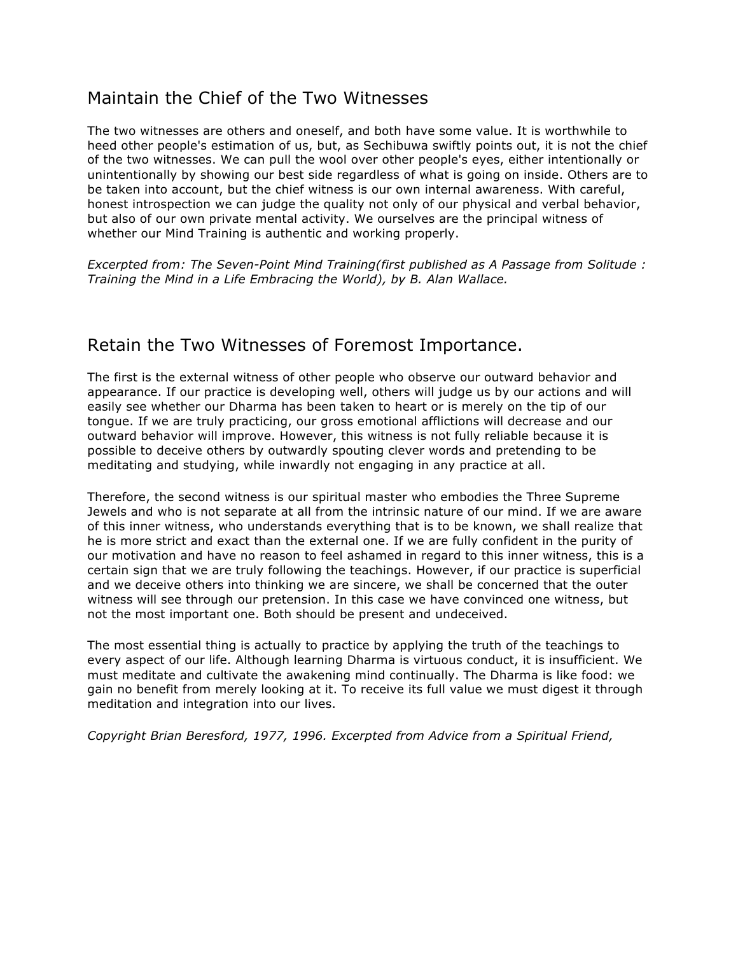#### Maintain the Chief of the Two Witnesses

The two witnesses are others and oneself, and both have some value. It is worthwhile to heed other people's estimation of us, but, as Sechibuwa swiftly points out, it is not the chief of the two witnesses. We can pull the wool over other people's eyes, either intentionally or unintentionally by showing our best side regardless of what is going on inside. Others are to be taken into account, but the chief witness is our own internal awareness. With careful, honest introspection we can judge the quality not only of our physical and verbal behavior, but also of our own private mental activity. We ourselves are the principal witness of whether our Mind Training is authentic and working properly.

*Excerpted from: The Seven-Point Mind Training(first published as A Passage from Solitude : Training the Mind in a Life Embracing the World), by B. Alan Wallace.*

#### Retain the Two Witnesses of Foremost Importance.

The first is the external witness of other people who observe our outward behavior and appearance. If our practice is developing well, others will judge us by our actions and will easily see whether our Dharma has been taken to heart or is merely on the tip of our tongue. If we are truly practicing, our gross emotional afflictions will decrease and our outward behavior will improve. However, this witness is not fully reliable because it is possible to deceive others by outwardly spouting clever words and pretending to be meditating and studying, while inwardly not engaging in any practice at all.

Therefore, the second witness is our spiritual master who embodies the Three Supreme Jewels and who is not separate at all from the intrinsic nature of our mind. If we are aware of this inner witness, who understands everything that is to be known, we shall realize that he is more strict and exact than the external one. If we are fully confident in the purity of our motivation and have no reason to feel ashamed in regard to this inner witness, this is a certain sign that we are truly following the teachings. However, if our practice is superficial and we deceive others into thinking we are sincere, we shall be concerned that the outer witness will see through our pretension. In this case we have convinced one witness, but not the most important one. Both should be present and undeceived.

The most essential thing is actually to practice by applying the truth of the teachings to every aspect of our life. Although learning Dharma is virtuous conduct, it is insufficient. We must meditate and cultivate the awakening mind continually. The Dharma is like food: we gain no benefit from merely looking at it. To receive its full value we must digest it through meditation and integration into our lives.

*Copyright Brian Beresford, 1977, 1996. Excerpted from Advice from a Spiritual Friend,*